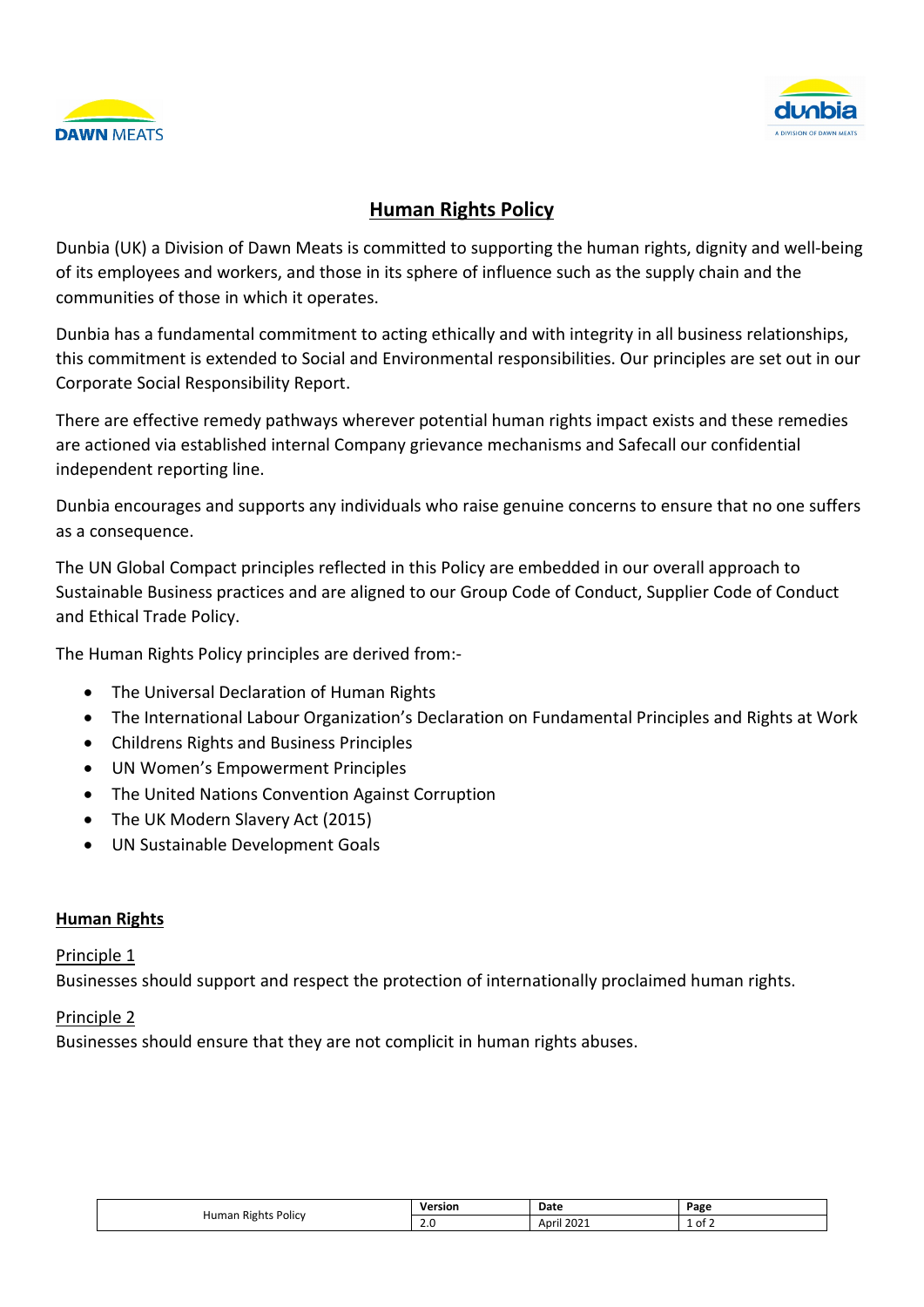



# **Human Rights Policy**

Dunbia (UK) a Division of Dawn Meats is committed to supporting the human rights, dignity and well-being of its employees and workers, and those in its sphere of influence such as the supply chain and the communities of those in which it operates.

Dunbia has a fundamental commitment to acting ethically and with integrity in all business relationships, this commitment is extended to Social and Environmental responsibilities. Our principles are set out in our Corporate Social Responsibility Report.

There are effective remedy pathways wherever potential human rights impact exists and these remedies are actioned via established internal Company grievance mechanisms and Safecall our confidential independent reporting line.

Dunbia encourages and supports any individuals who raise genuine concerns to ensure that no one suffers as a consequence.

The UN Global Compact principles reflected in this Policy are embedded in our overall approach to Sustainable Business practices and are aligned to our Group Code of Conduct, Supplier Code of Conduct and Ethical Trade Policy.

The Human Rights Policy principles are derived from:-

- The Universal Declaration of Human Rights
- The International Labour Organization's Declaration on Fundamental Principles and Rights at Work
- Childrens Rights and Business Principles
- UN Women's Empowerment Principles
- The United Nations Convention Against Corruption
- The UK Modern Slavery Act (2015)
- UN Sustainable Development Goals

#### **Human Rights**

#### Principle 1

Businesses should support and respect the protection of internationally proclaimed human rights.

### Principle 2

Businesses should ensure that they are not complicit in human rights abuses.

| Policy<br>Rights<br>Humar<br>. . | Jersior<br>ыш | Date                                                         | Page |
|----------------------------------|---------------|--------------------------------------------------------------|------|
|                                  | 2.0           | $\cdots$<br>Anril<br>ZUZ.<br>the contract of the contract of | of 2 |